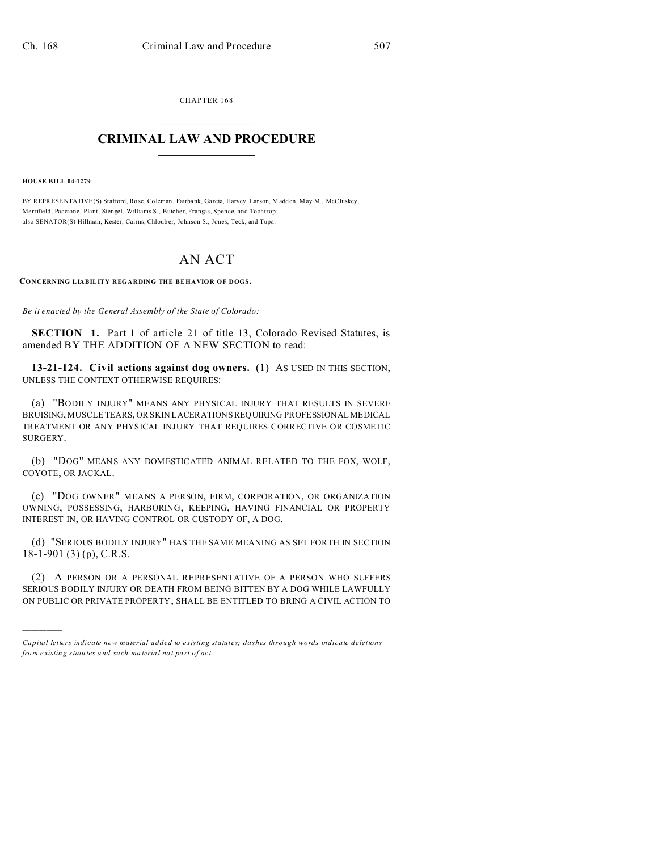CHAPTER 168

## **CRIMINAL LAW AND PROCEDURE**

**HOUSE BILL 04-1279** 

BY REPRESENTATIVE(S) Stafford, Rose, Coleman, Fairbank, Garcia, Harvey, Larson, Madden, May M., McCluskey, Merrifield, Paccione, Plant, Stengel, Williams S., Butcher, Frangas, Spence, and Tochtrop; also SENATOR(S) Hillman, Kester, Cairns, Chlouber, Johnson S., Jones, Teck, and Tupa.

## AN ACT

CONCERNING LIABILITY REGARDING THE BEHAVIOR OF DOGS.

Be it enacted by the General Assembly of the State of Colorado:

**SECTION** 1. Part 1 of article 21 of title 13, Colorado Revised Statutes, is amended BY THE ADDITION OF A NEW SECTION to read:

13-21-124. Civil actions against dog owners. (1) AS USED IN THIS SECTION, UNLESS THE CONTEXT OTHERWISE REQUIRES:

(a) "BODILY INJURY" MEANS ANY PHYSICAL INJURY THAT RESULTS IN SEVERE BRUISING, MUSCLE TEARS, OR SKIN LACERATIONS REQUIRING PROFESSION AL MEDICAL TREATMENT OR ANY PHYSICAL INJURY THAT REQUIRES CORRECTIVE OR COSMETIC SURGERY.

(b) "DOG" MEANS ANY DOMESTICATED ANIMAL RELATED TO THE FOX, WOLF, COYOTE, OR JACKAL.

(c) "DOG OWNER" MEANS A PERSON, FIRM, CORPORATION, OR ORGANIZATION OWNING, POSSESSING, HARBORING, KEEPING, HAVING FINANCIAL OR PROPERTY INTEREST IN, OR HAVING CONTROL OR CUSTODY OF, A DOG.

(d) "SERIOUS BODILY INJURY" HAS THE SAME MEANING AS SET FORTH IN SECTION 18-1-901 (3) (p), C.R.S.

(2) A PERSON OR A PERSONAL REPRESENTATIVE OF A PERSON WHO SUFFERS SERIOUS BODILY INJURY OR DEATH FROM BEING BITTEN BY A DOG WHILE LAWFULLY ON PUBLIC OR PRIVATE PROPERTY, SHALL BE ENTITLED TO BRING A CIVIL ACTION TO

Capital letters indicate new material added to existing statutes; dashes through words indicate deletions from existing statutes and such material not part of act.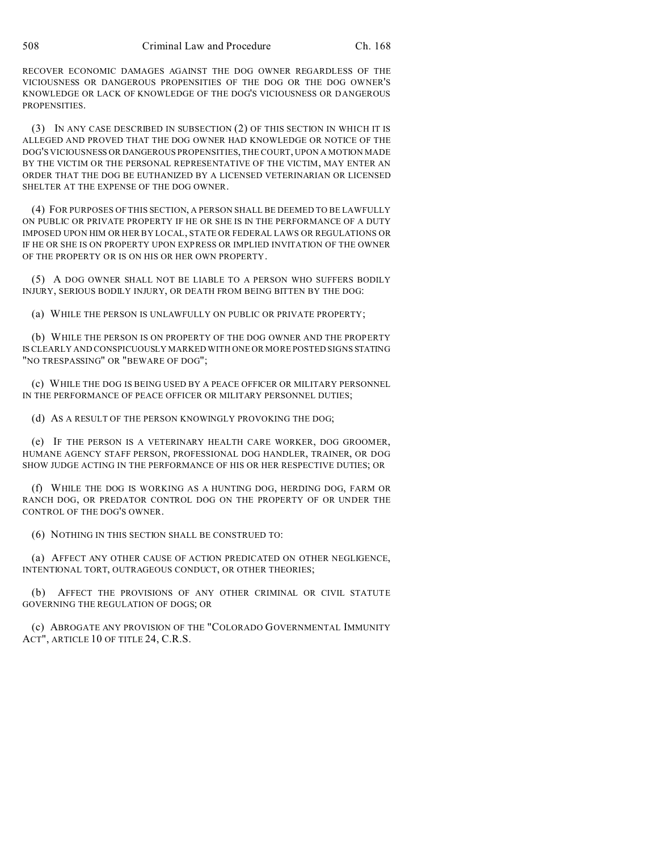RECOVER ECONOMIC DAMAGES AGAINST THE DOG OWNER REGARDLESS OF THE VICIOUSNESS OR DANGEROUS PROPENSITIES OF THE DOG OR THE DOG OWNER'S KNOWLEDGE OR LACK OF KNOWLEDGE OF THE DOG'S VICIOUSNESS OR DANGEROUS PROPENSITIES.

(3) IN ANY CASE DESCRIBED IN SUBSECTION (2) OF THIS SECTION IN WHICH IT IS ALLEGED AND PROVED THAT THE DOG OWNER HAD KNOWLEDGE OR NOTICE OF THE DOG'S VICIOUSNESS OR DANGEROUS PROPENSITIES, THE COURT, UPON A MOTION MADE BY THE VICTIM OR THE PERSONAL REPRESENTATIVE OF THE VICTIM, MAY ENTER AN ORDER THAT THE DOG BE EUTHANIZED BY A LICENSED VETERINARIAN OR LICENSED SHELTER AT THE EXPENSE OF THE DOG OWNER.

(4) FOR PURPOSES OF THIS SECTION, A PERSON SHALL BE DEEMED TO BE LAWFULLY ON PUBLIC OR PRIVATE PROPERTY IF HE OR SHE IS IN THE PERFORMANCE OF A DUTY IMPOSED UPON HIM OR HER BY LOCAL, STATE OR FEDERAL LAWS OR REGULATIONS OR IF HE OR SHE IS ON PROPERTY UPON EXPRESS OR IMPLIED INVITATION OF THE OWNER OF THE PROPERTY OR IS ON HIS OR HER OWN PROPERTY.

(5) A DOG OWNER SHALL NOT BE LIABLE TO A PERSON WHO SUFFERS BODILY INJURY, SERIOUS BODILY INJURY, OR DEATH FROM BEING BITTEN BY THE DOG:

(a) WHILE THE PERSON IS UNLAWFULLY ON PUBLIC OR PRIVATE PROPERTY;

(b) WHILE THE PERSON IS ON PROPERTY OF THE DOG OWNER AND THE PROPERTY IS CLEARLY AND CONSPICUOUSLY MARKED WITH ONE OR MORE POSTED SIGNS STATING "NO TRESPASSING" OR "BEWARE OF DOG";

(c) WHILE THE DOG IS BEING USED BY A PEACE OFFICER OR MILITARY PERSONNEL IN THE PERFORMANCE OF PEACE OFFICER OR MILITARY PERSONNEL DUTIES;

(d) AS A RESULT OF THE PERSON KNOWINGLY PROVOKING THE DOG;

(e) IF THE PERSON IS A VETERINARY HEALTH CARE WORKER, DOG GROOMER, HUMANE AGENCY STAFF PERSON, PROFESSIONAL DOG HANDLER, TRAINER, OR DOG SHOW JUDGE ACTING IN THE PERFORMANCE OF HIS OR HER RESPECTIVE DUTIES; OR

(f) WHILE THE DOG IS WORKING AS A HUNTING DOG, HERDING DOG, FARM OR RANCH DOG, OR PREDATOR CONTROL DOG ON THE PROPERTY OF OR UNDER THE CONTROL OF THE DOG'S OWNER.

(6) NOTHING IN THIS SECTION SHALL BE CONSTRUED TO:

(a) AFFECT ANY OTHER CAUSE OF ACTION PREDICATED ON OTHER NEGLIGENCE, INTENTIONAL TORT, OUTRAGEOUS CONDUCT, OR OTHER THEORIES;

(b) AFFECT THE PROVISIONS OF ANY OTHER CRIMINAL OR CIVIL STATUTE GOVERNING THE REGULATION OF DOGS; OR

(c) ABROGATE ANY PROVISION OF THE "COLORADO GOVERNMENTAL IMMUNITY ACT", ARTICLE 10 OF TITLE 24, C.R.S.